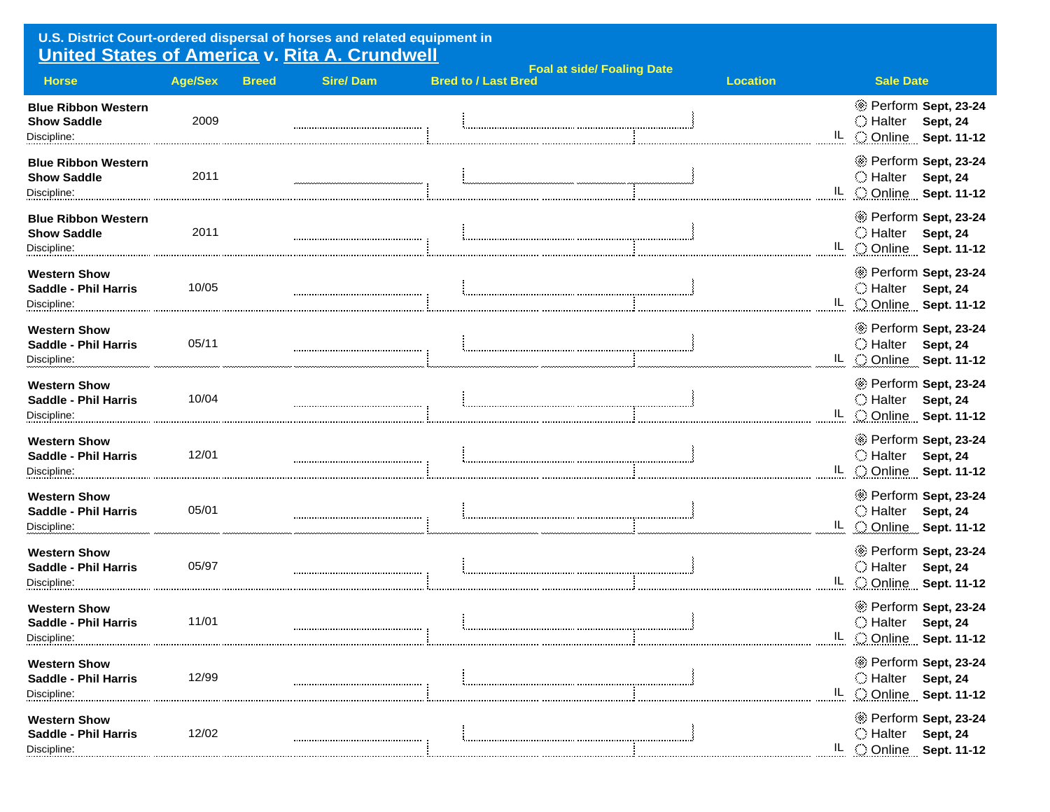## **U.S. District Court-ordered dispersal of horses and related equipment in United States of America v. Rita A. Crundwell**

| <b>Horse</b>                                                      | <b>Age/Sex</b> | <b>Breed</b> | <b>Sire/Dam</b> | <b>Bred to / Last Bred</b> | <b>Foal at side/ Foaling Date</b> | <b>Location</b> | <b>Sale Date</b>                                                               |
|-------------------------------------------------------------------|----------------|--------------|-----------------|----------------------------|-----------------------------------|-----------------|--------------------------------------------------------------------------------|
| <b>Blue Ribbon Western</b><br><b>Show Saddle</b><br>Discipline:   | 2009           |              |                 |                            |                                   |                 | * Perform Sept, 23-24<br>○ Halter<br>Sept, 24<br>IL COnline Sept. 11-12        |
| <b>Blue Ribbon Western</b><br><b>Show Saddle</b><br>Discipline:   | 2011           |              |                 |                            |                                   |                 | * Perform Sept, 23-24<br>Halter Sept, 24<br>IL COnline Sept. 11-12             |
| <b>Blue Ribbon Western</b><br><b>Show Saddle</b><br>Discipline:   | 2011           |              |                 |                            |                                   |                 | * Perform Sept, 23-24<br>◯ Halter<br>Sept, 24<br>IL Conline Sept. 11-12        |
| <b>Western Show</b><br><b>Saddle - Phil Harris</b><br>Discipline: | 10/05          |              |                 |                            |                                   |                 | * Perform Sept, 23-24<br>○ Halter<br>Sept, 24<br>IL C Online Sept. 11-12       |
| <b>Western Show</b><br><b>Saddle - Phil Harris</b><br>Discipline: | 05/11          |              |                 |                            |                                   |                 | Perform Sept, 23-24<br>○ Halter<br>Sept, 24<br>IL C Online Sept. 11-12         |
| <b>Western Show</b><br><b>Saddle - Phil Harris</b><br>Discipline: | 10/04          |              |                 |                            |                                   |                 | * Perform Sept, 23-24<br>◯ Halter<br><b>Sept, 24</b><br>IL COnline Sept. 11-12 |
| <b>Western Show</b><br><b>Saddle - Phil Harris</b><br>Discipline: | 12/01          |              |                 |                            |                                   |                 | * Perform Sept, 23-24<br>○ Halter<br>Sept, 24<br>IL COnline Sept. 11-12        |
| <b>Western Show</b><br><b>Saddle - Phil Harris</b><br>Discipline: | 05/01          |              |                 |                            |                                   |                 | * Perform Sept, 23-24<br>◯ Halter<br>Sept, 24<br>IL C Online Sept. 11-12       |
| <b>Western Show</b><br><b>Saddle - Phil Harris</b><br>Discipline: | 05/97          |              |                 |                            |                                   |                 | * Perform Sept, 23-24<br>◯ Halter<br>Sept, 24<br>IL COnline Sept. 11-12        |
| <b>Western Show</b><br><b>Saddle - Phil Harris</b><br>Discipline: | 11/01          |              |                 |                            |                                   |                 | * Perform Sept, 23-24<br>○ Halter<br><b>Sept, 24</b><br>IL Online Sept. 11-12  |
| <b>Western Show</b><br><b>Saddle - Phil Harris</b><br>Discipline: | 12/99          |              |                 |                            |                                   |                 | * Perform Sept, 23-24<br>○ Halter<br>Sept, 24<br>IL C Online Sept. 11-12       |
| <b>Western Show</b><br><b>Saddle - Phil Harris</b><br>Discipline: | 12/02          |              |                 |                            |                                   |                 | * Perform Sept, 23-24<br>○ Halter<br>Sept, 24<br>IL COnline Sept. 11-12        |